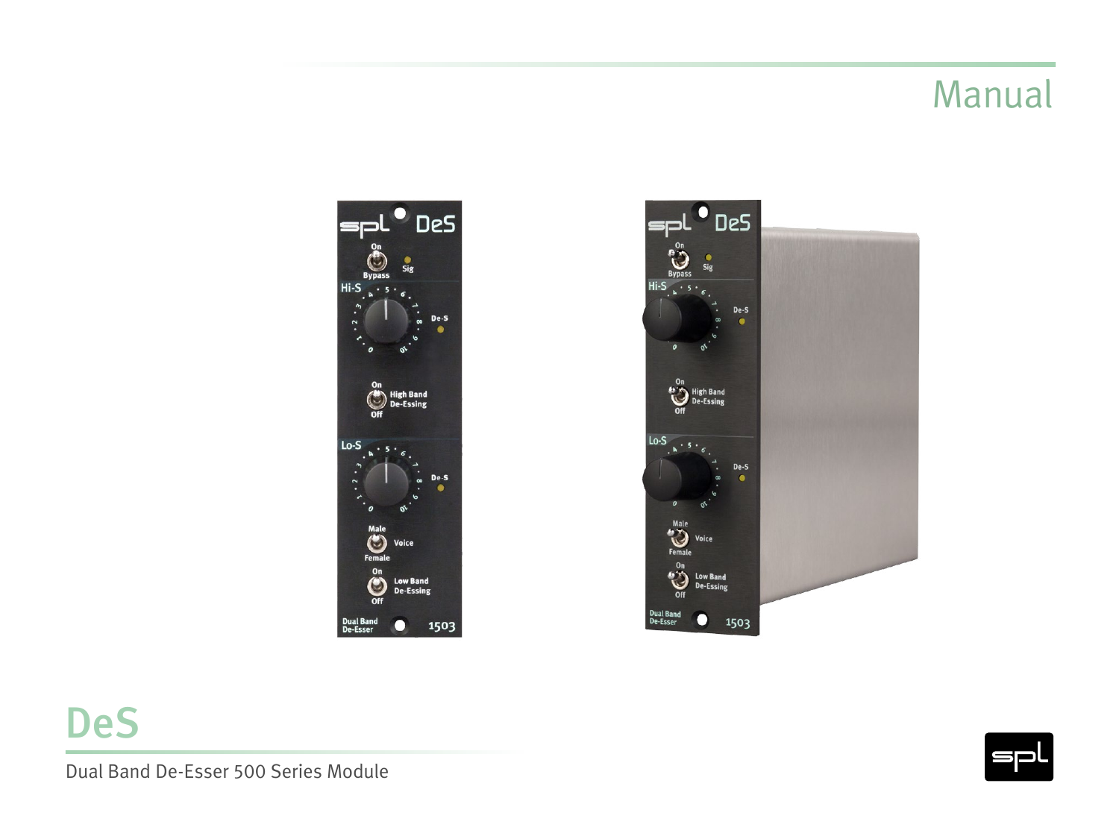# Manual





# DeS

Dual Band De-Esser 500 Series Module

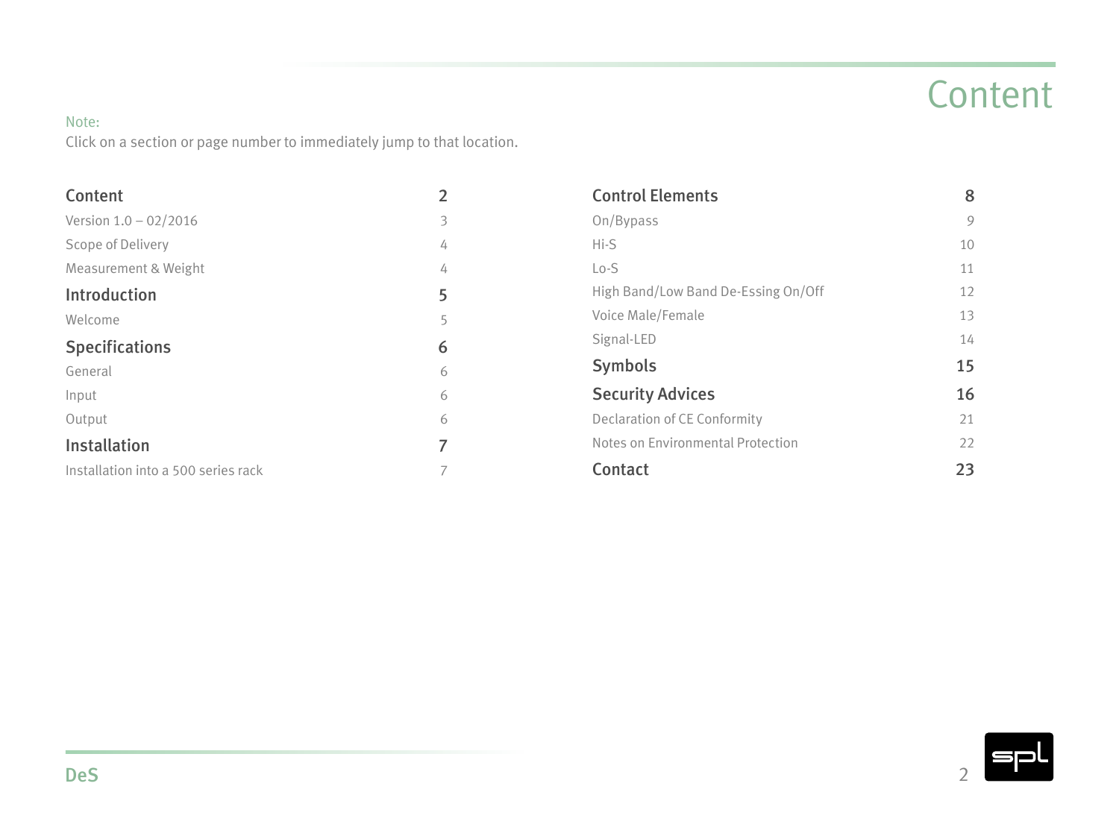# **Content**

#### <span id="page-1-0"></span>Note:

Click on a section or page number to immediately jump to that location.

| Content                             | C | <b>Control Elements</b>             | 8  |
|-------------------------------------|---|-------------------------------------|----|
| Version $1.0 - 02/2016$             | 3 | On/Bypass                           | 9  |
| Scope of Delivery                   | 4 | Hi-S                                | 10 |
| <b>Measurement &amp; Weight</b>     | 4 | $Lo-S$                              | 11 |
| Introduction                        | 5 | High Band/Low Band De-Essing On/Off | 12 |
| Welcome                             |   | Voice Male/Female                   | 13 |
| <b>Specifications</b>               | 6 | Signal-LED                          | 14 |
| General                             | 6 | <b>Symbols</b>                      | 15 |
| Input                               | 6 | <b>Security Advices</b>             | 16 |
| Output                              | 6 | <b>Declaration of CE Conformity</b> | 21 |
| <b>Installation</b>                 |   | Notes on Environmental Protection   | 22 |
| Installation into a 500 series rack |   | Contact                             | 23 |

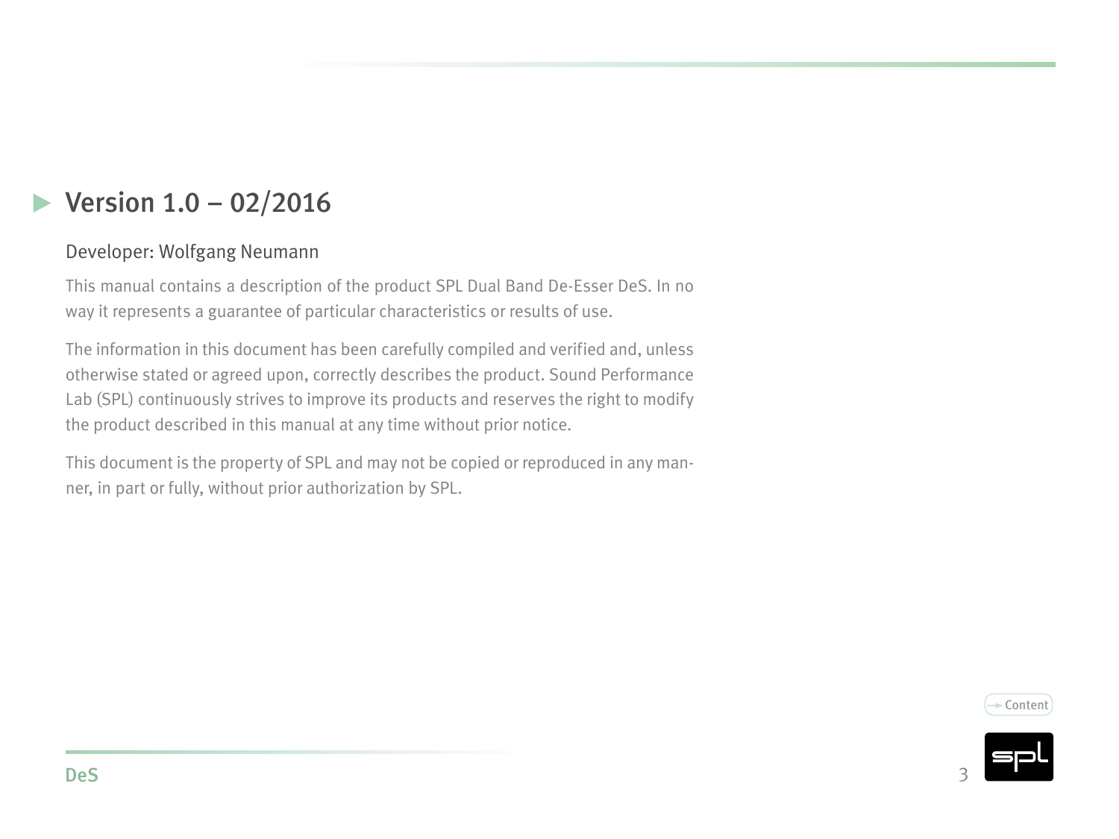## <span id="page-2-0"></span> $\blacktriangleright$  Version 1.0 – 02/2016

#### Developer: Wolfgang Neumann

This manual contains a description of the product SPL Dual Band De-Esser DeS. In no way it represents a guarantee of particular characteristics or results of use.

The information in this document has been carefully compiled and verified and, unless otherwise stated or agreed upon, correctly describes the product. Sound Performance Lab (SPL) continuously strives to improve its products and reserves the right to modify the product described in this manual at any time without prior notice.

This document is the property of SPL and may not be copied or reproduced in any manner, in part or fully, without prior authorization by SPL.



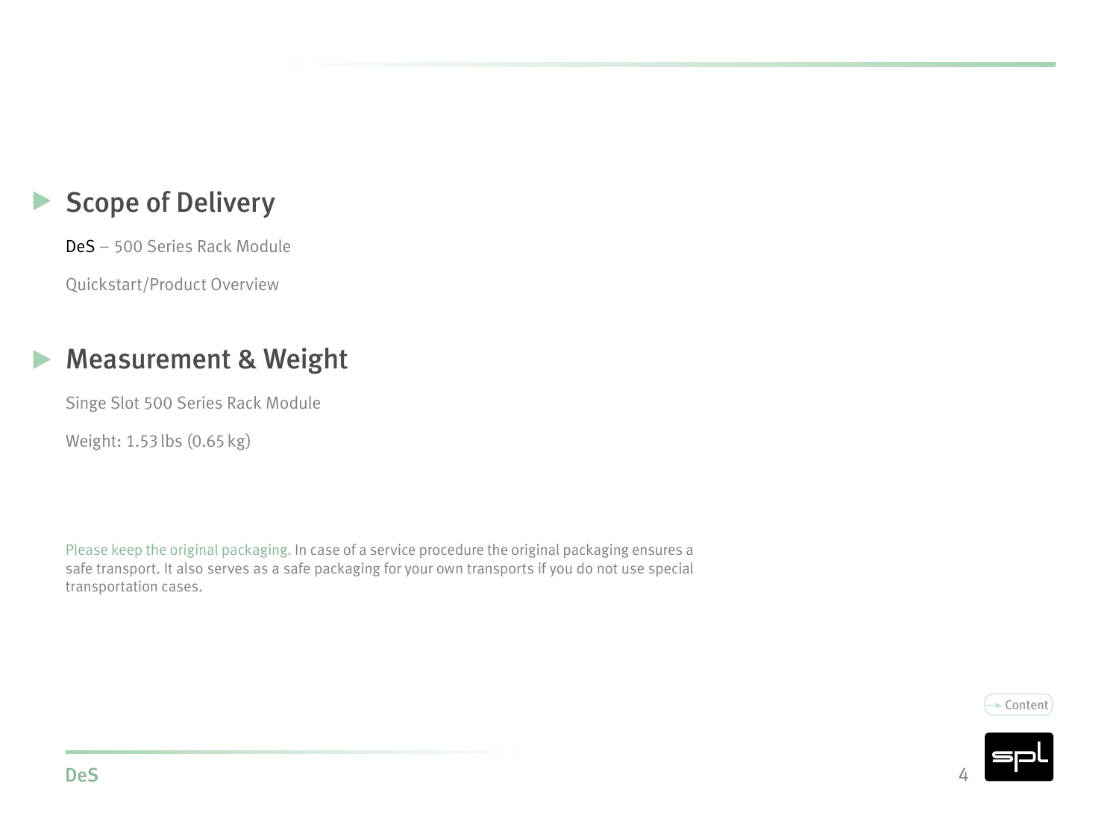#### <span id="page-3-0"></span>Scope of Delivery  $\blacktriangleright$

DeS – 500 Series Rack Module

Quickstart/Product Overview

#### Measurement & Weight  $\blacktriangleright$

Singe Slot 500 Series Rack Module

Weight: 1.53lbs (0.65kg)

Please keep the original packaging. In case of a service procedure the original packaging ensures a safe transport. It also serves as a safe packaging for your own transports if you do not use special transportation cases.



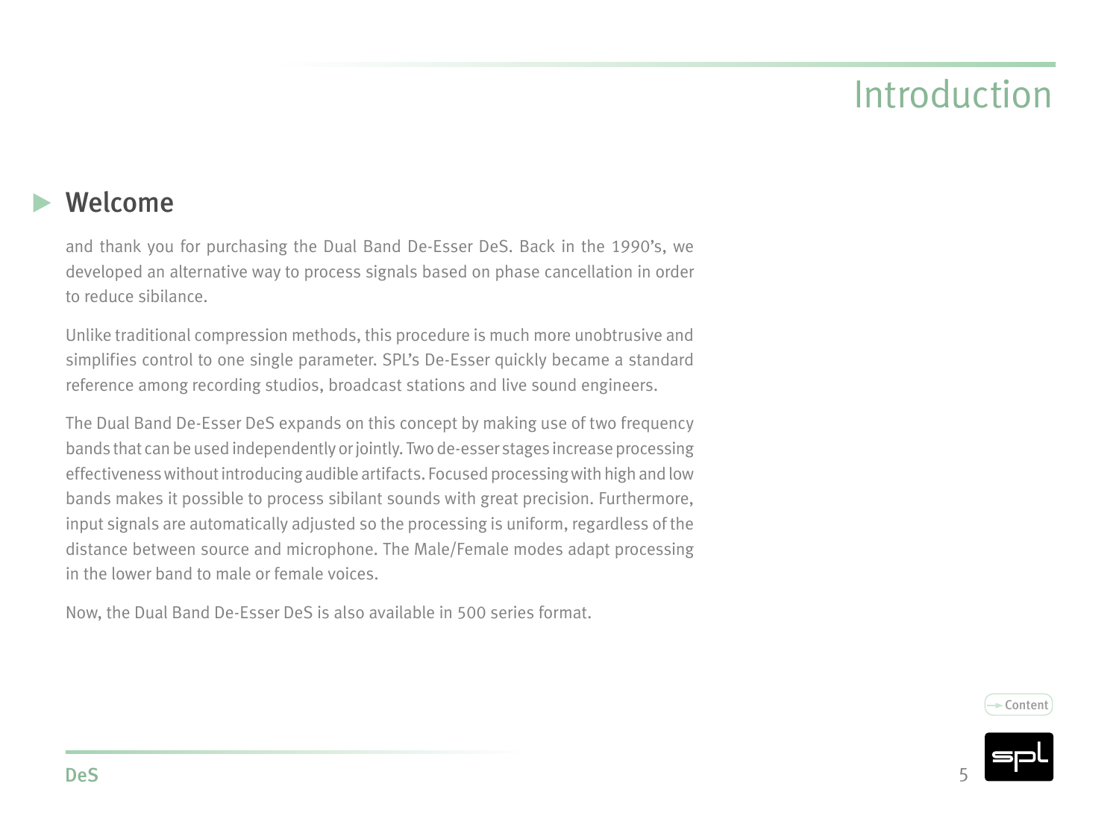# Introduction

#### <span id="page-4-0"></span>Welcome

and thank you for purchasing the Dual Band De-Esser DeS. Back in the 1990's, we developed an alternative way to process signals based on phase cancellation in order to reduce sibilance.

Unlike traditional compression methods, this procedure is much more unobtrusive and simplifies control to one single parameter. SPL's De-Esser quickly became a standard reference among recording studios, broadcast stations and live sound engineers.

The Dual Band De-Esser DeS expands on this concept by making use of two frequency bands that can be used independently or jointly. Two de-esser stages increase processing effectiveness without introducing audible artifacts. Focused processing with high and low bands makes it possible to process sibilant sounds with great precision. Furthermore, input signals are automatically adjusted so the processing is uniform, regardless of the distance between source and microphone. The Male/Female modes adapt processing in the lower band to male or female voices.

Now, the Dual Band De-Esser DeS is also available in 500 series format.



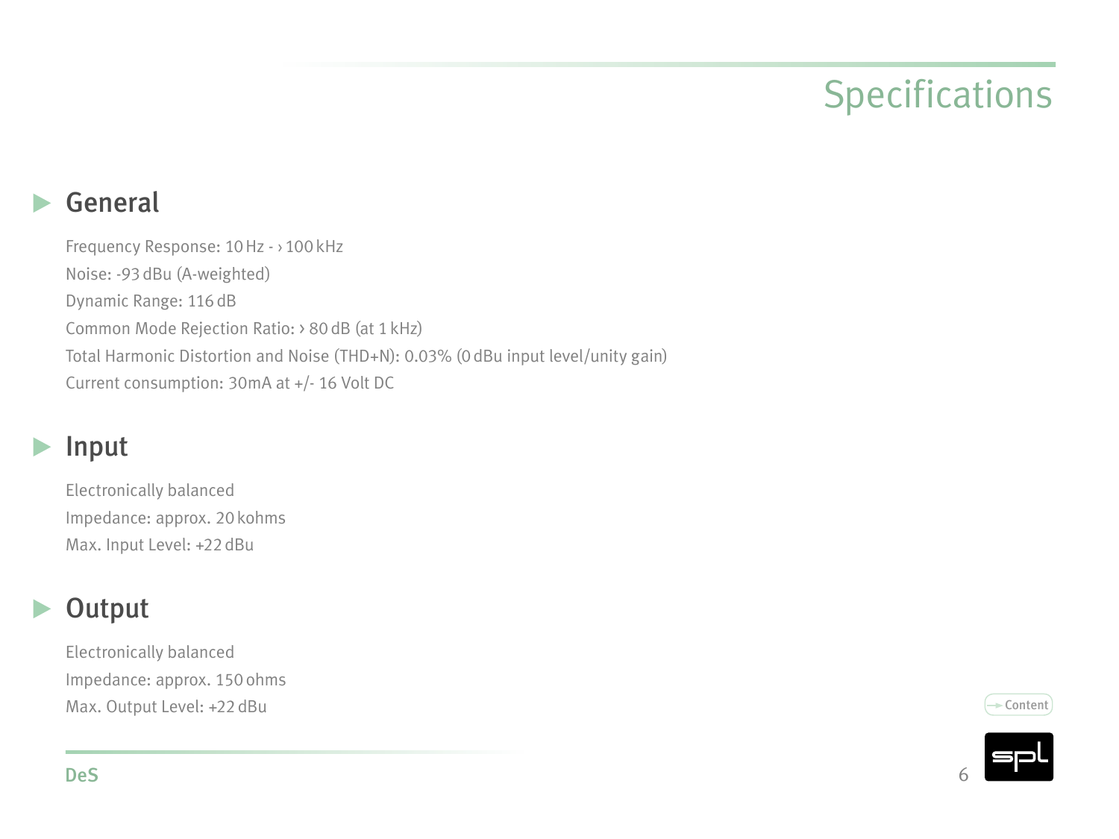# Specifications

### <span id="page-5-0"></span>General

Frequency Response: 10Hz - ›100kHz Noise: -93dBu (A-weighted) Dynamic Range: 116dB Common Mode Rejection Ratio: > 80dB (at 1kHz) Total Harmonic Distortion and Noise (THD+N): 0.03% (0dBu input level/unity gain) Current consumption: 30mA at +/- 16 Volt DC

#### Input

Electronically balanced Impedance: approx. 20kohms Max. Input Level: +22dBu

## **Output**

Electronically balanced Impedance: approx. 150ohms Max. Output Level: +22 dBu  $\rightarrow$  [Content](#page-1-0)



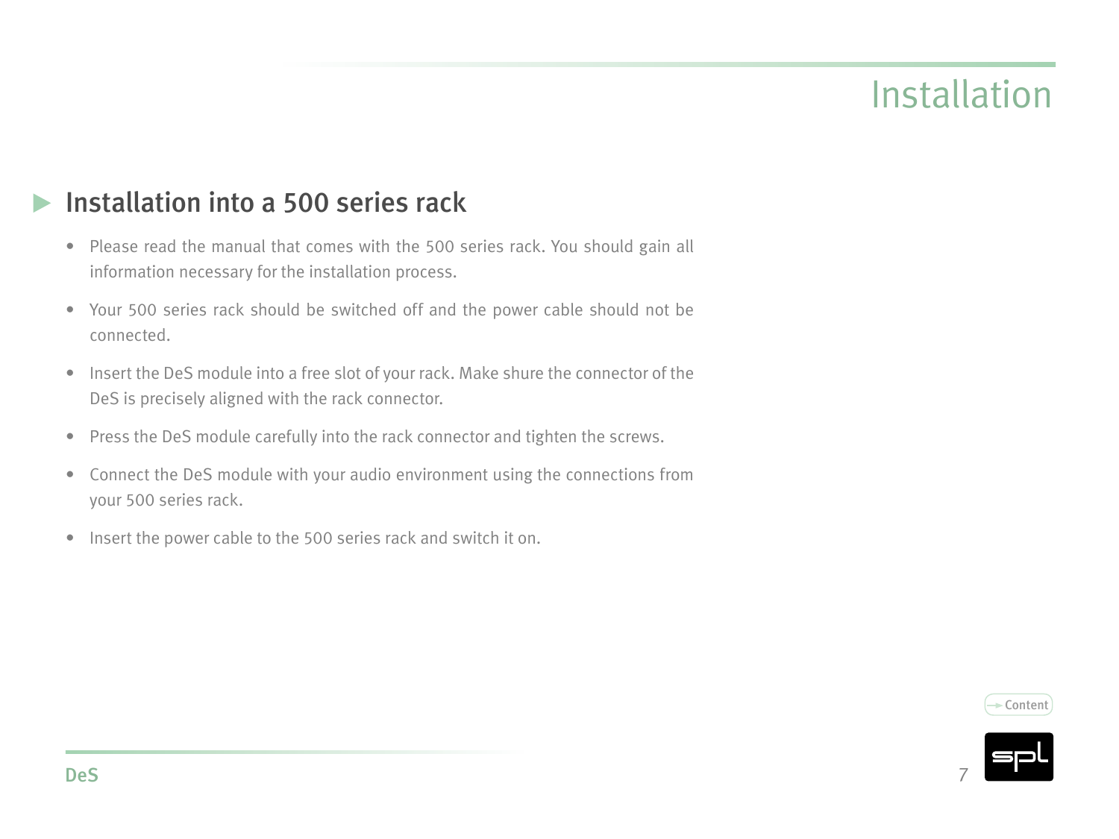# Installation

### <span id="page-6-0"></span>Installation into a 500 series rack

- Please read the manual that comes with the 500 series rack. You should gain all information necessary for the installation process.
- Your 500 series rack should be switched off and the power cable should not be connected.
- Insert the DeS module into a free slot of your rack. Make shure the connector of the DeS is precisely aligned with the rack connector.
- Press the DeS module carefully into the rack connector and tighten the screws.
- Connect the DeS module with your audio environment using the connections from your 500 series rack.
- Insert the power cable to the 500 series rack and switch it on.



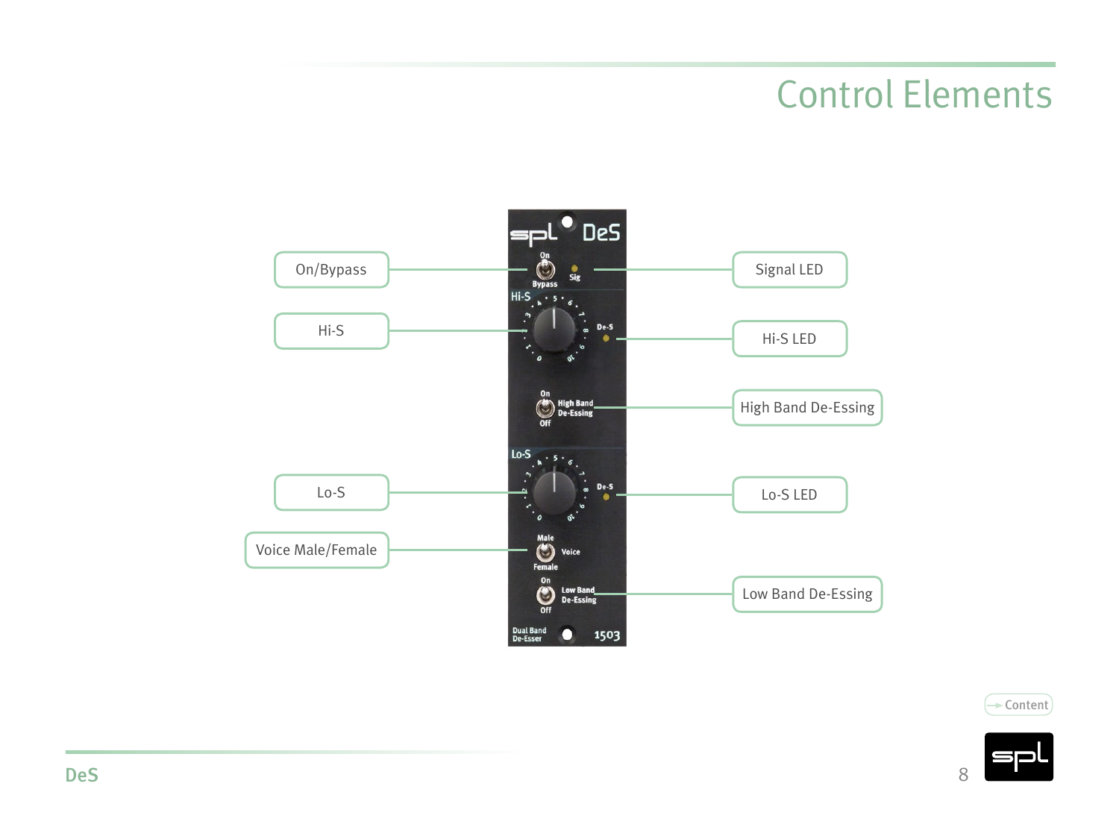<span id="page-7-0"></span>



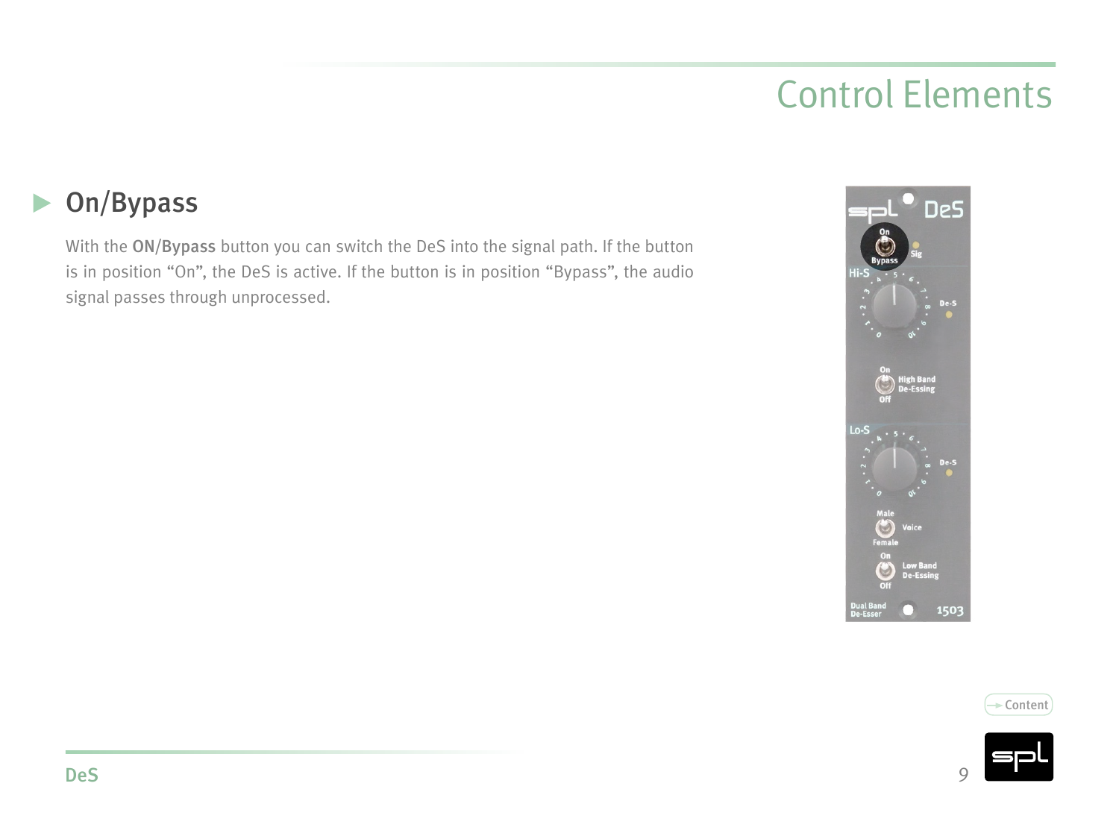#### <span id="page-8-0"></span>On/Bypass  $\blacktriangleright$

With the ON/Bypass button you can switch the DeS into the signal path. If the button is in position "On", the DeS is active. If the button is in position "Bypass", the audio signal passes through unprocessed.





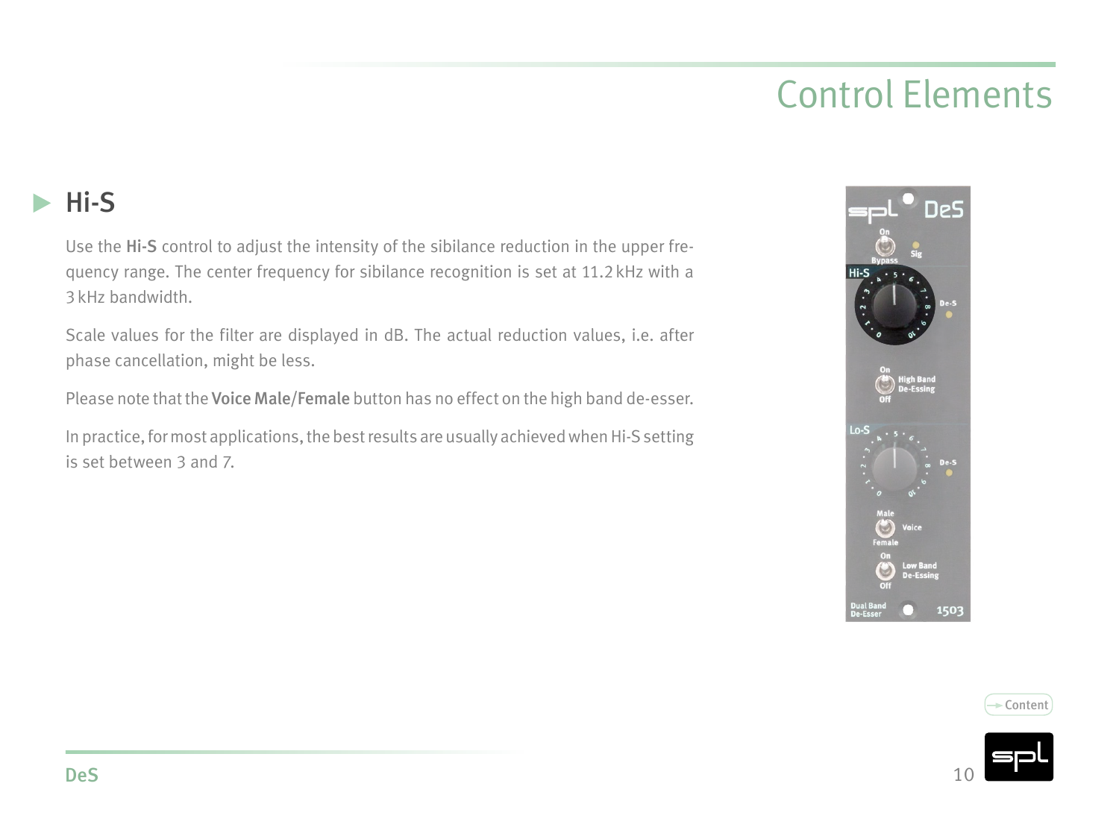## <span id="page-9-0"></span> $\blacktriangleright$  Hi-S

Use the Hi-S control to adjust the intensity of the sibilance reduction in the upper frequency range. The center frequency for sibilance recognition is set at 11.2kHz with a 3kHz bandwidth.

Scale values for the filter are displayed in dB. The actual reduction values, i.e. after phase cancellation, might be less.

Please note that the Voice Male/Female button has no effect on the high band de-esser.

In practice, for most applications, the best results are usually achieved when Hi-S setting is set between 3 and 7.





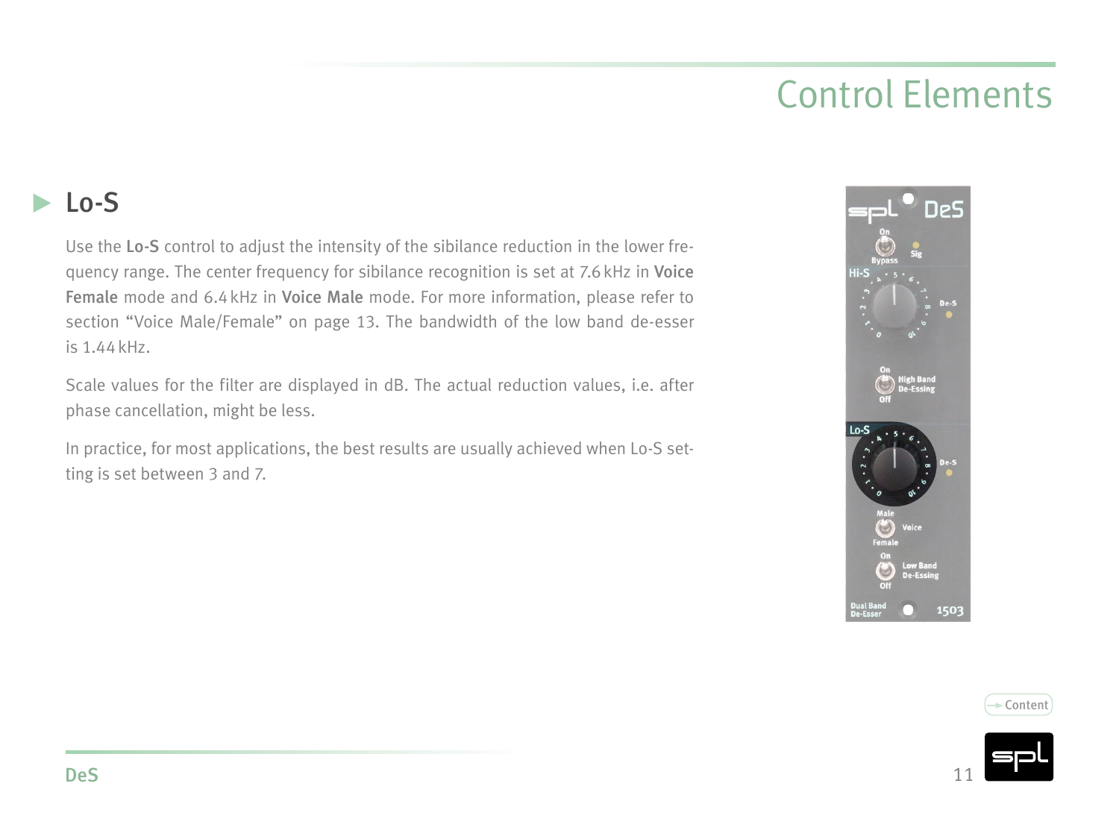### <span id="page-10-0"></span>Lo-S

Use the Lo-S control to adjust the intensity of the sibilance reduction in the lower frequency range. The center frequency for sibilance recognition is set at 7.6 kHz in Voice Female mode and 6.4 kHz in Voice Male mode. For more information, please refer to section ["Voice Male/Female" on page 13](#page-12-1). The bandwidth of the low band de-esser is 1.44kHz.

Scale values for the filter are displayed in dB. The actual reduction values, i.e. after phase cancellation, might be less.

In practice, for most applications, the best results are usually achieved when Lo-S setting is set between 3 and 7.





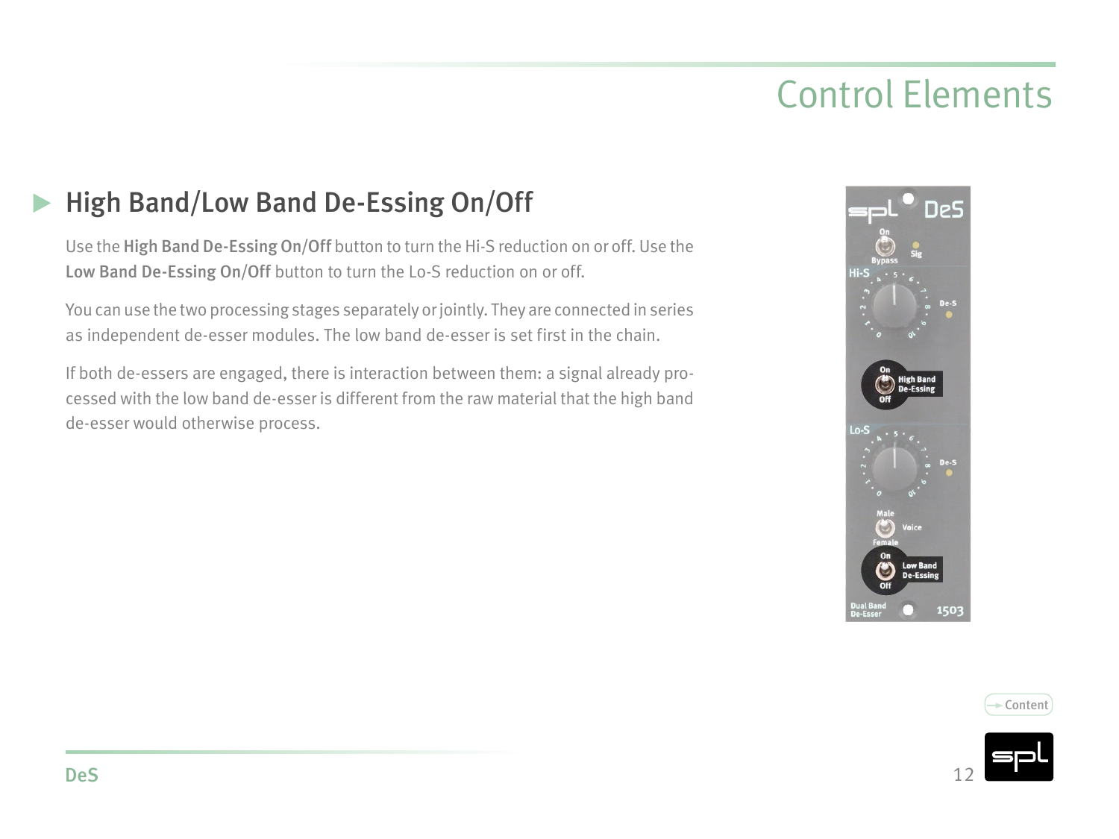## <span id="page-11-0"></span>High Band/Low Band De-Essing On/Off

Use the High Band De-Essing On/Off button to turn the Hi-S reduction on or off. Use the Low Band De-Essing On/Off button to turn the Lo-S reduction on or off.

You can use the two processing stages separately or jointly. They are connected in series as independent de-esser modules. The low band de-esser is set first in the chain.

If both de-essers are engaged, there is interaction between them: a signal already processed with the low band de-esser is different from the raw material that the high band de-esser would otherwise process.





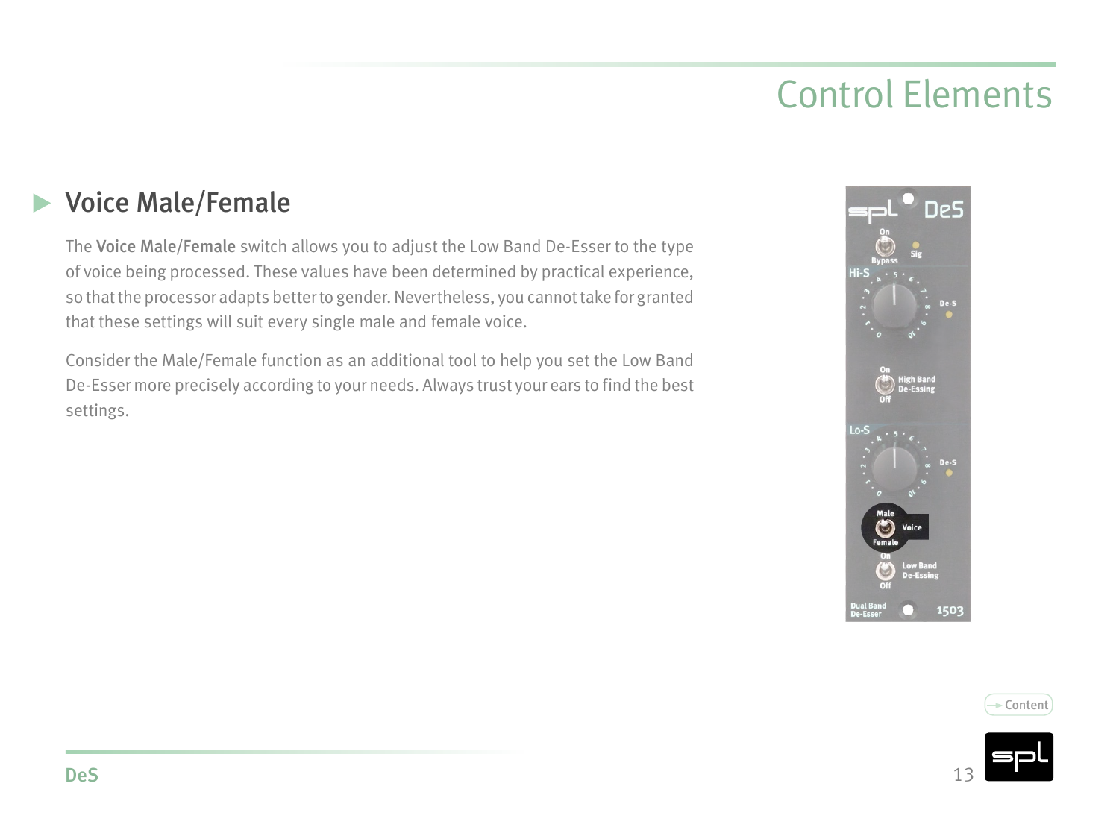## <span id="page-12-1"></span><span id="page-12-0"></span>**Voice Male/Female**

The Voice Male/Female switch allows you to adjust the Low Band De-Esser to the type of voice being processed. These values have been determined by practical experience, so that the processor adapts better to gender. Nevertheless, you cannot take for granted that these settings will suit every single male and female voice.

Consider the Male/Female function as an additional tool to help you set the Low Band De-Esser more precisely according to your needs. Always trust your ears to find the best settings.





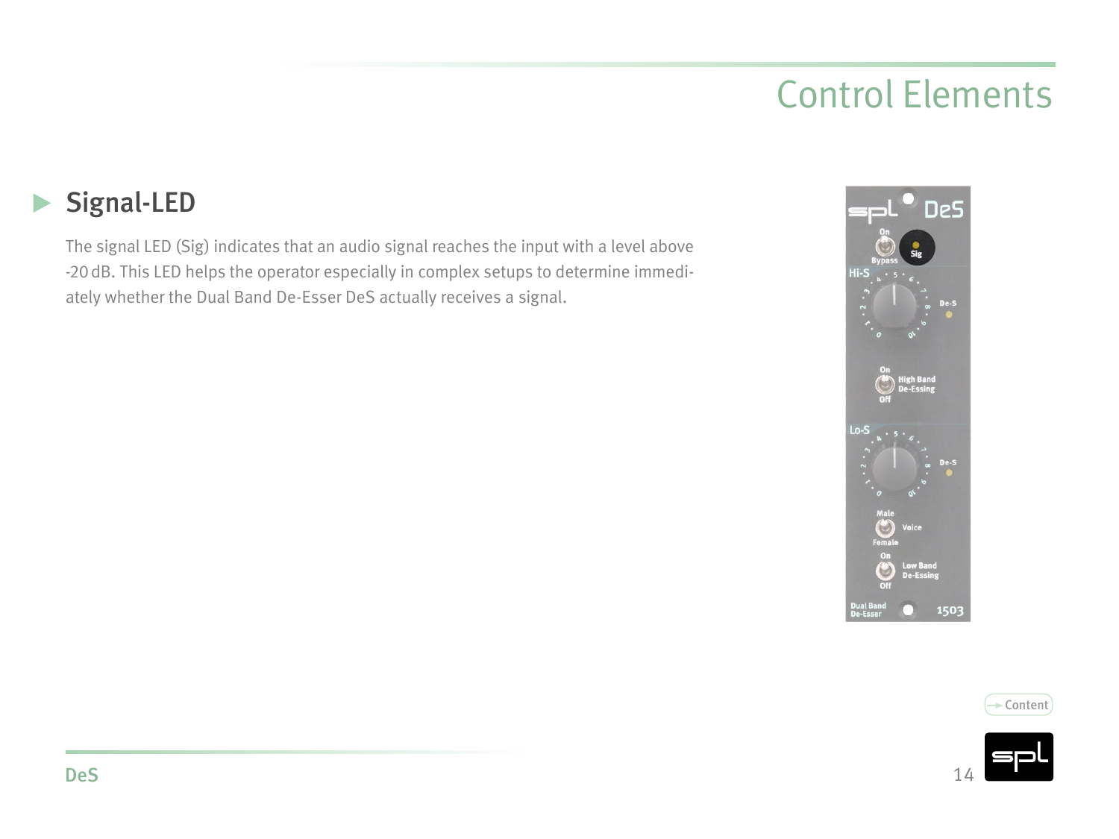#### <span id="page-13-0"></span>Signal-LED  $\blacktriangleright$

The signal LED (Sig) indicates that an audio signal reaches the input with a level above -20dB. This LED helps the operator especially in complex setups to determine immediately whether the Dual Band De-Esser DeS actually receives a signal.





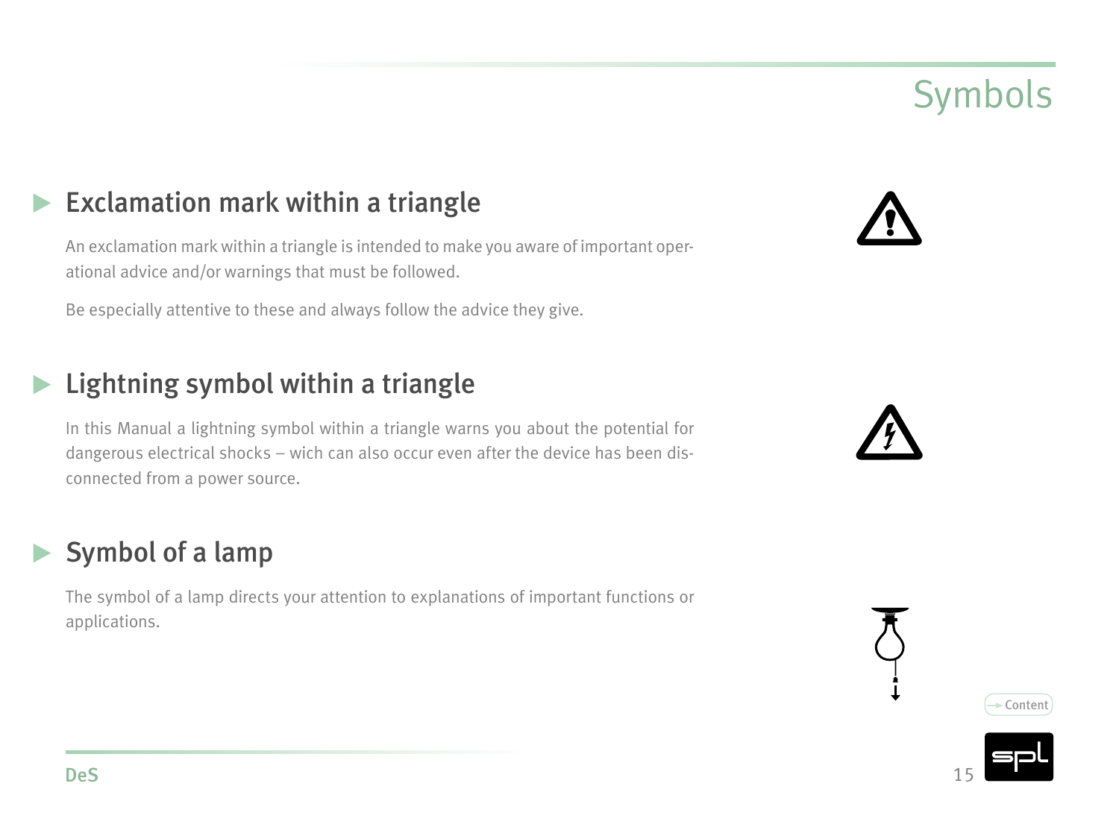# Symbols

### <span id="page-14-0"></span>Exclamation mark within a triangle

An exclamation mark within a triangle is intended to make you aware of important operational advice and/or warnings that must be followed.

Be especially attentive to these and always follow the advice they give.

#### Lightning symbol within a triangle

In this Manual a lightning symbol within a triangle warns you about the potential for dangerous electrical shocks – wich can also occur even after the device has been disconnected from a power source.

#### Symbol of a lamp

The symbol of a lamp directs your attention to explanations of important functions or applications.









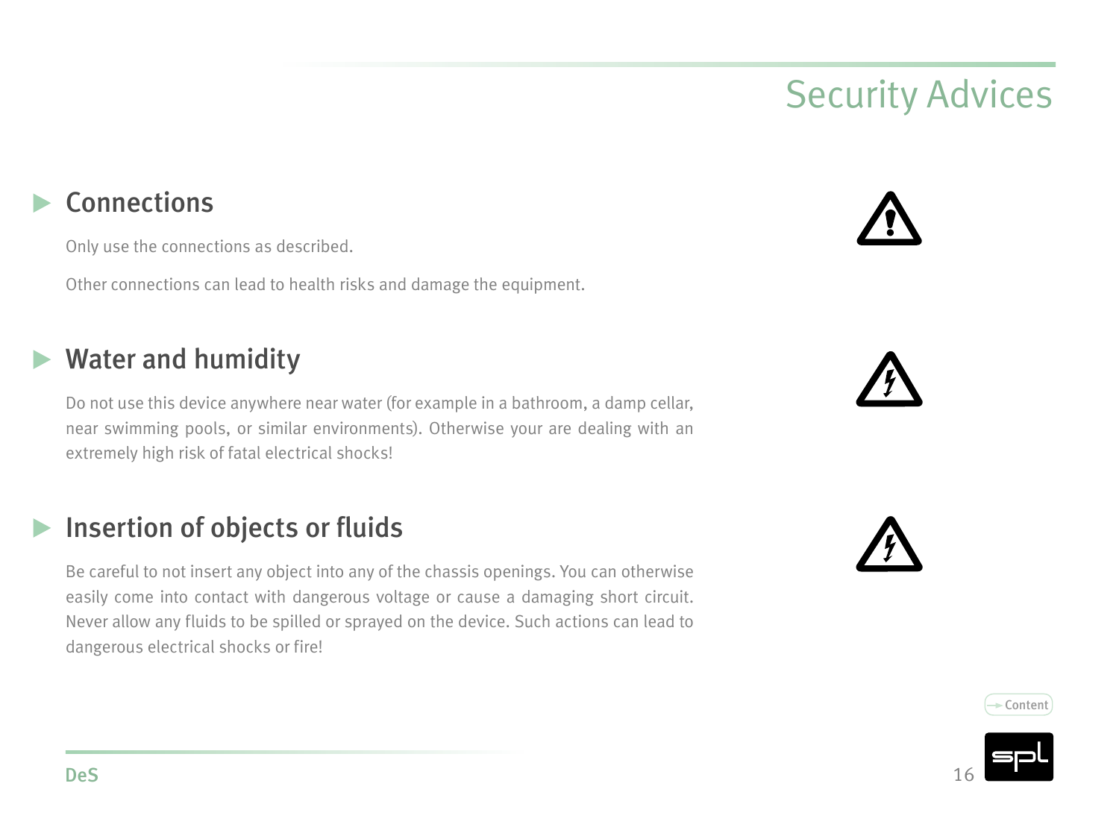<span id="page-15-0"></span>Only use the connections as described.

Other connections can lead to health risks and damage the equipment.

### Water and humidity

Do not use this device anywhere near water (for example in a bathroom, a damp cellar, near swimming pools, or similar environments). Otherwise your are dealing with an extremely high risk of fatal electrical shocks!

## Insertion of objects or fluids

Be careful to not insert any object into any of the chassis openings. You can otherwise easily come into contact with dangerous voltage or cause a damaging short circuit. Never allow any fluids to be spilled or sprayed on the device. Such actions can lead to dangerous electrical shocks or fire!







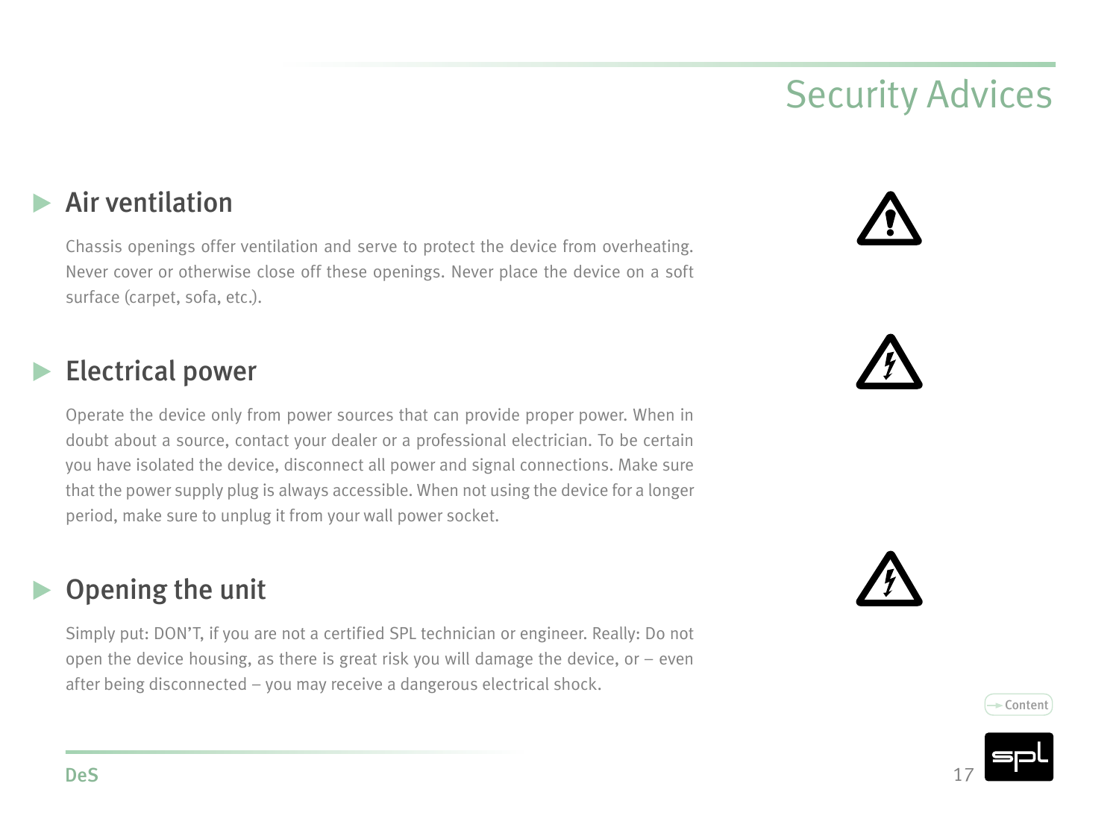### Air ventilation

Chassis openings offer ventilation and serve to protect the device from overheating. Never cover or otherwise close off these openings. Never place the device on a soft surface (carpet, sofa, etc.).

#### Electrical power

Operate the device only from power sources that can provide proper power. When in doubt about a source, contact your dealer or a professional electrician. To be certain you have isolated the device, disconnect all power and signal connections. Make sure that the power supply plug is always accessible. When not using the device for a longer period, make sure to unplug it from your wall power socket.

#### Opening the unit

Simply put: DON'T, if you are not a certified SPL technician or engineer. Really: Do not open the device housing, as there is great risk you will damage the device, or – even after being disconnected – you may receive a dangerous electrical shock.







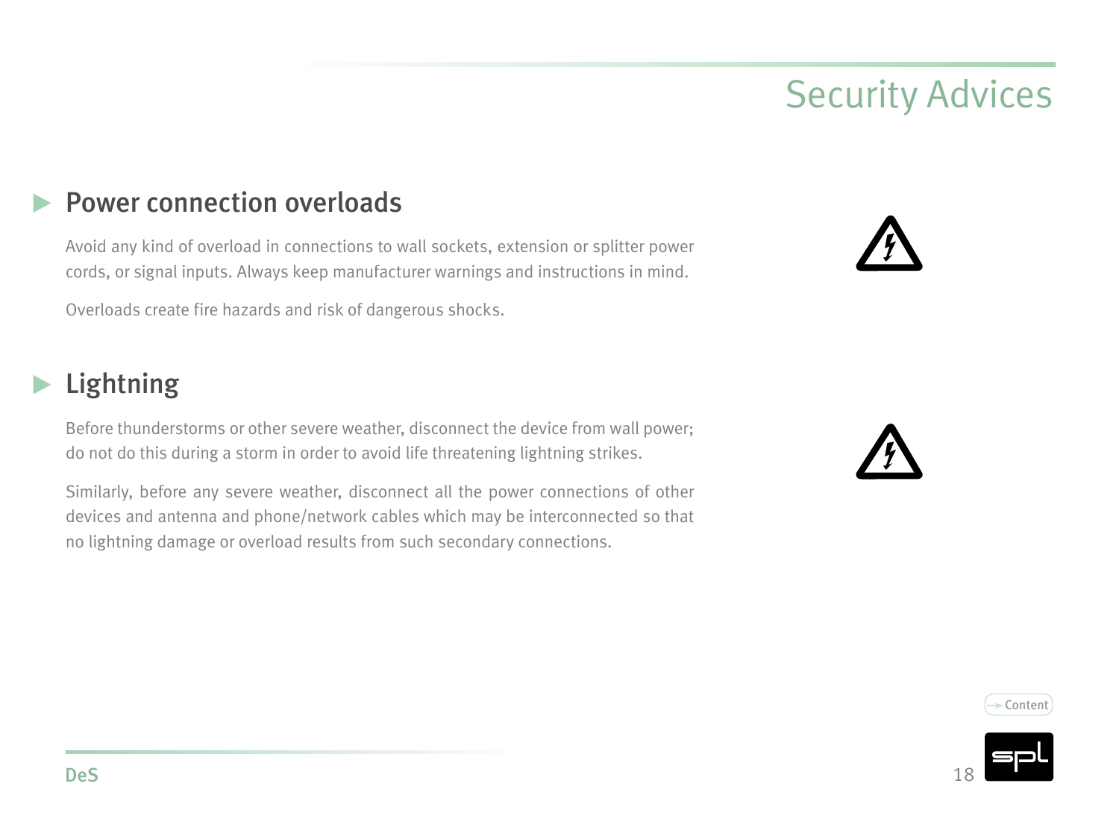#### Power connection overloads

Avoid any kind of overload in connections to wall sockets, extension or splitter power cords, or signal inputs. Always keep manufacturer warnings and instructions in mind.

Overloads create fire hazards and risk of dangerous shocks.

#### Lightning

Before thunderstorms or other severe weather, disconnect the device from wall power; do not do this during a storm in order to avoid life threatening lightning strikes.

Similarly, before any severe weather, disconnect all the power connections of other devices and antenna and phone/network cables which may be interconnected so that no lightning damage or overload results from such secondary connections.







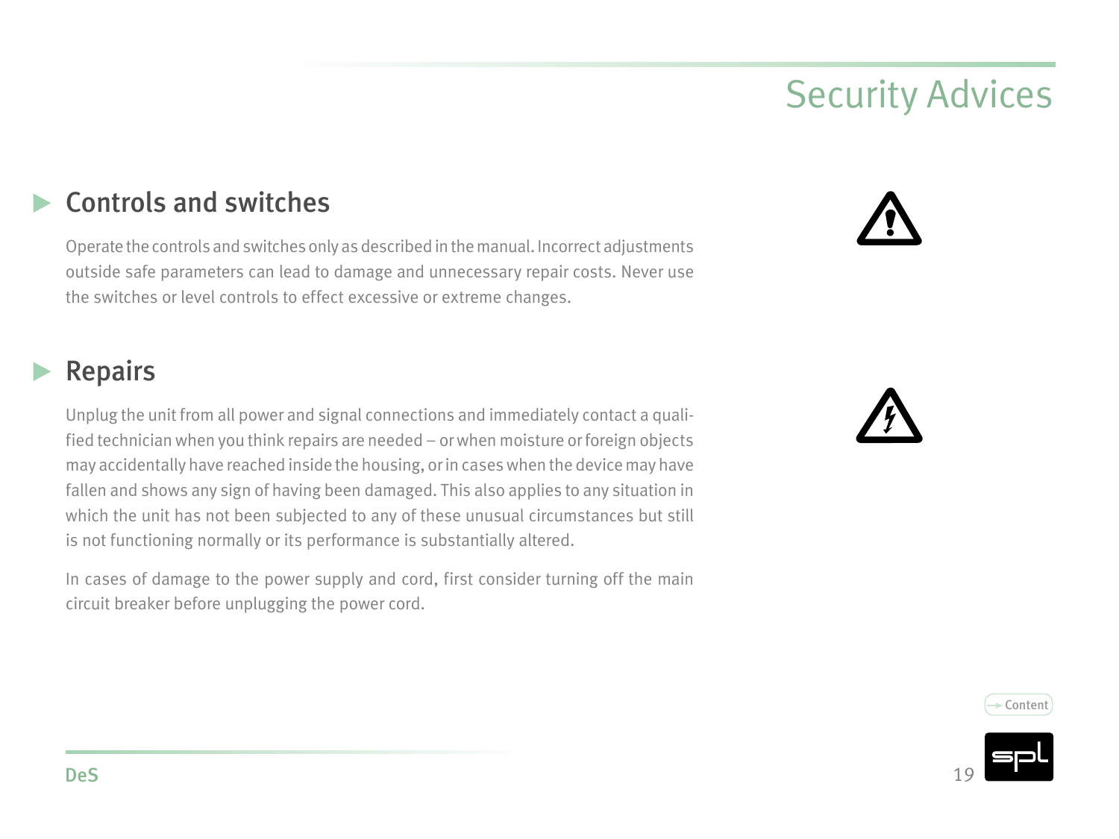### Controls and switches

Operate the controls and switches only as described in the manual. Incorrect adjustments outside safe parameters can lead to damage and unnecessary repair costs. Never use the switches or level controls to effect excessive or extreme changes.

#### Repairs

Unplug the unit from all power and signal connections and immediately contact a qualified technician when you think repairs are needed – or when moisture or foreign objects may accidentally have reached inside the housing, or in cases when the device may have fallen and shows any sign of having been damaged. This also applies to any situation in which the unit has not been subjected to any of these unusual circumstances but still is not functioning normally or its performance is substantially altered.

In cases of damage to the power supply and cord, first consider turning off the main circuit breaker before unplugging the power cord.





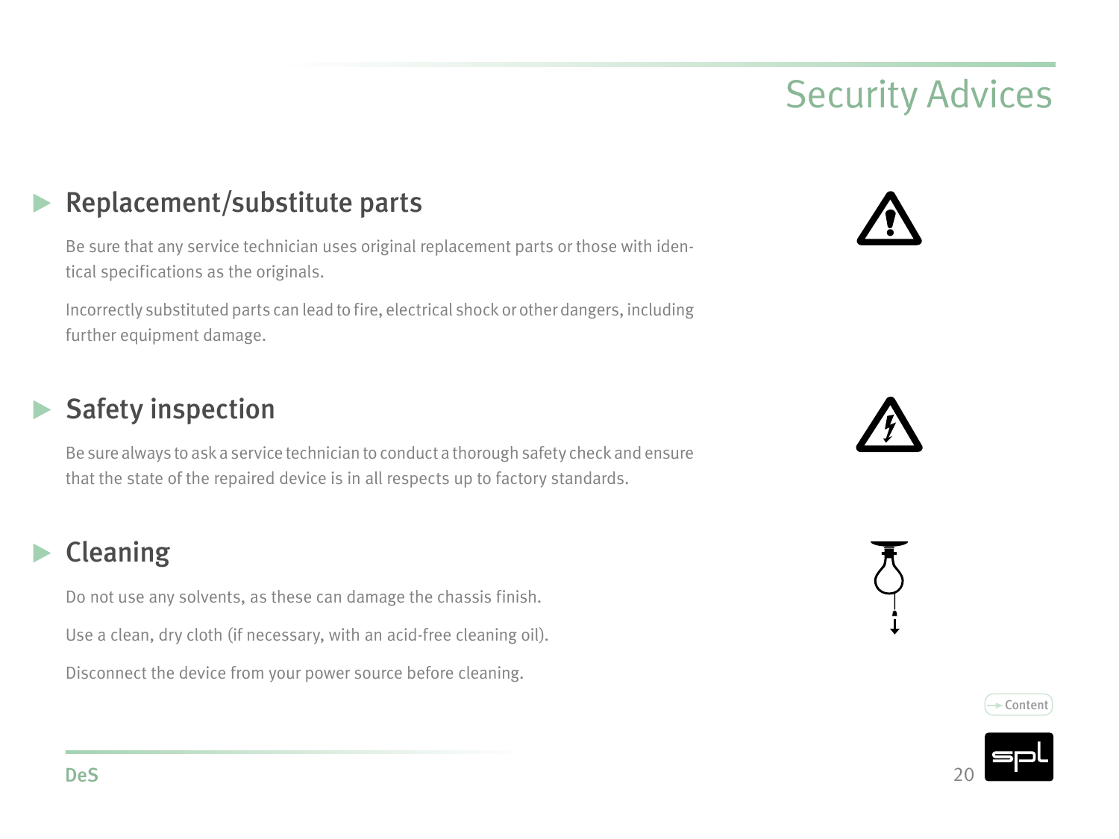## Replacement/substitute parts

Be sure that any service technician uses original replacement parts or those with identical specifications as the originals.

Incorrectly substituted parts can lead to fire, electrical shock or other dangers, including further equipment damage.

### Safety inspection

Be sure always to ask a service technician to conduct a thorough safety check and ensure that the state of the repaired device is in all respects up to factory standards.

### Cleaning

Do not use any solvents, as these can damage the chassis finish. Use a clean, dry cloth (if necessary, with an acid-free cleaning oil). Disconnect the device from your power source before cleaning.







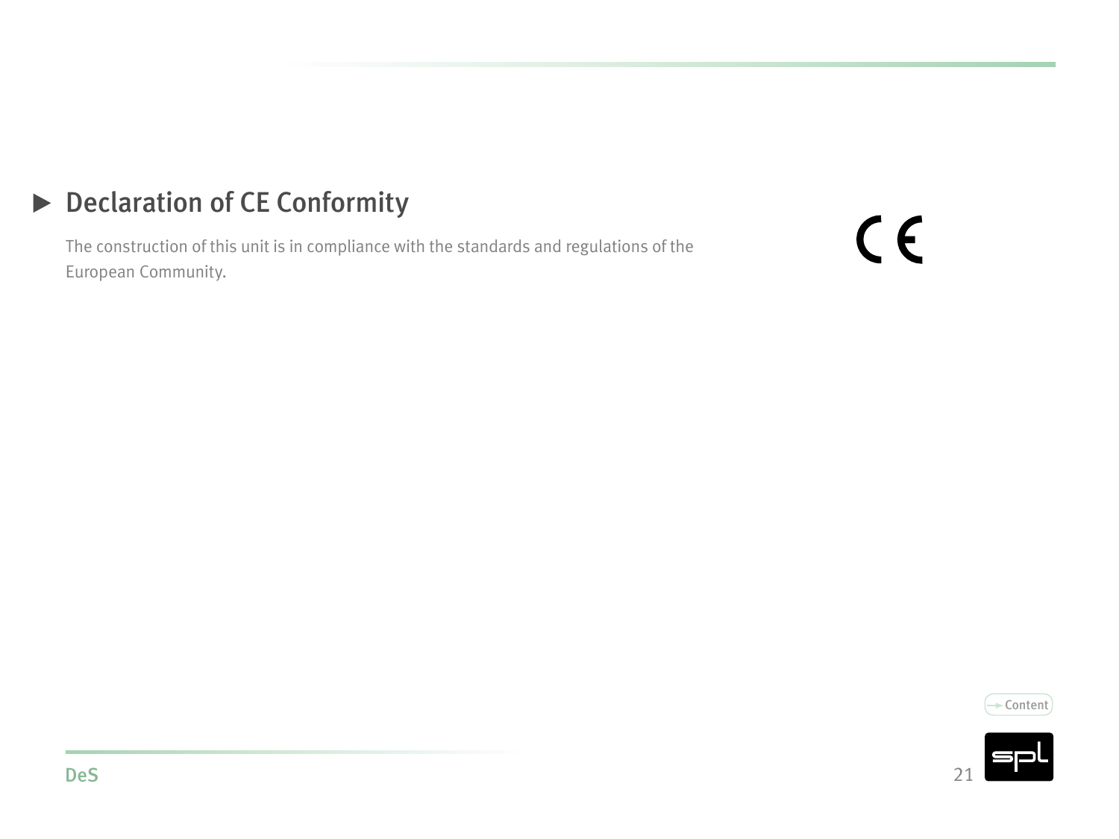## <span id="page-20-0"></span>Declaration of CE Conformity

The construction of this unit is in compliance with the standards and regulations of the European Community.

 $C<sub>f</sub>$ 



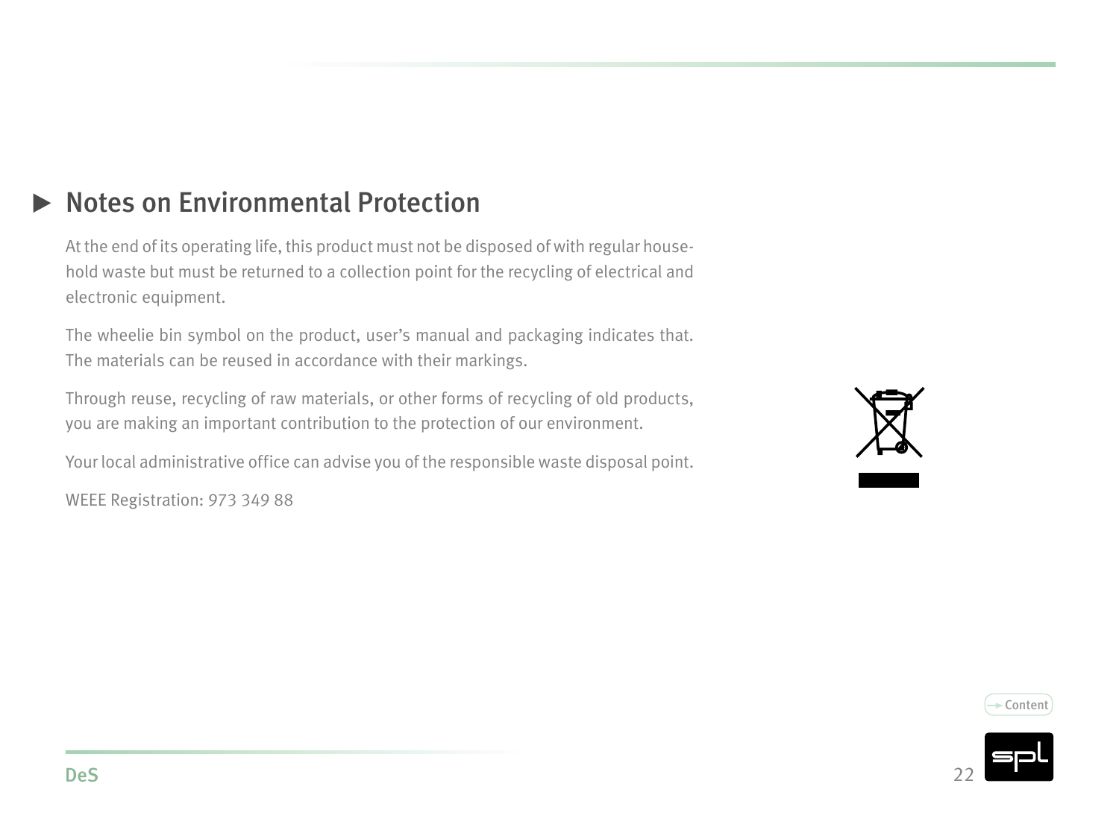## <span id="page-21-0"></span>▶ Notes on Environmental Protection

At the end of its operating life, this product must not be disposed of with regular household waste but must be returned to a collection point for the recycling of electrical and electronic equipment.

The wheelie bin symbol on the product, user's manual and packaging indicates that. The materials can be reused in accordance with their markings.

Through reuse, recycling of raw materials, or other forms of recycling of old products, you are making an important contribution to the protection of our environment.

Your local administrative office can advise you of the responsible waste disposal point.

WEEE Registration: 973 349 88